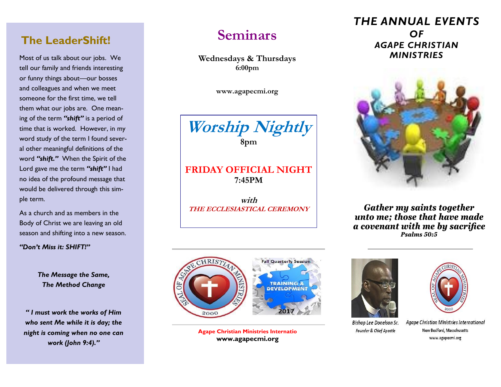## **The LeaderShift!**

Most of us talk about our jobs. We tell our family and friends interesting or funny things about—our bosses and colleagues and when we meet someone for the first time, we tell them what our jobs are. One meaning of the term *"shift"* is a period of time that is worked. However, in my word study of the term I found several other meaningful definitions of the word *"shift."* When the Spirit of the Lord gave me the term *"shift"* I had no idea of the profound message that would be delivered through this simple term.

As a church and as members in the Body of Christ we are leaving an old season and shifting into a new season.

*"Don't Miss it: SHIFT!"*

*The Message the Same, The Method Change*

*" I must work the works of Him who sent Me while it is day; the night is coming when no one can work (John 9:4)."*

# **Seminars**

**Wednesdays & Thursdays 6:00pm** 

**www.agapecmi.org**



#### **FRIDAY OFFICIAL NIGHT 7:45PM**

**with**



**Agape Christian Ministries Internatio www.agapecmi.org**



Bishop Lee Donelson Sr. Founder & Chief Apostle



Agape Christian Ministries International New Bedford, Masschusetts www.agapecmi.org

### *THE ANNUAL EVENTS OF AGAPE CHRISTIAN MINISTRIES*



**THE ECCLESIASTICAL CEREMONY** *Gather my saints together unto me; those that have made a covenant with me by sacrifice Psalms 50:5*